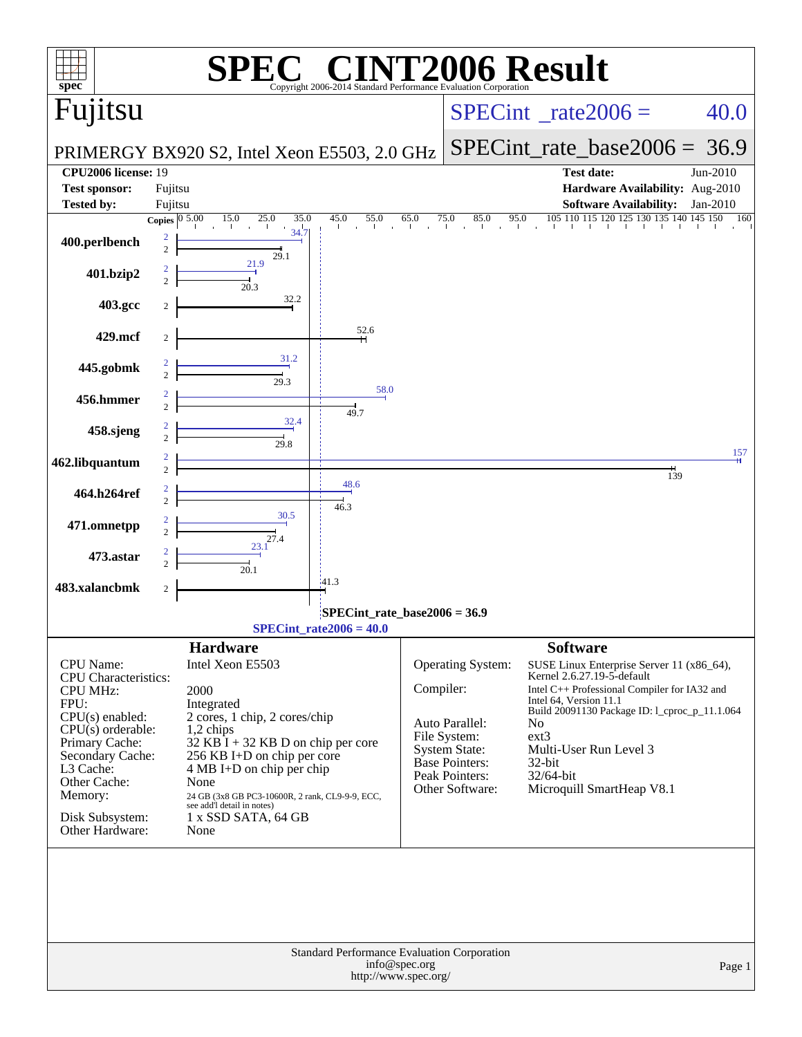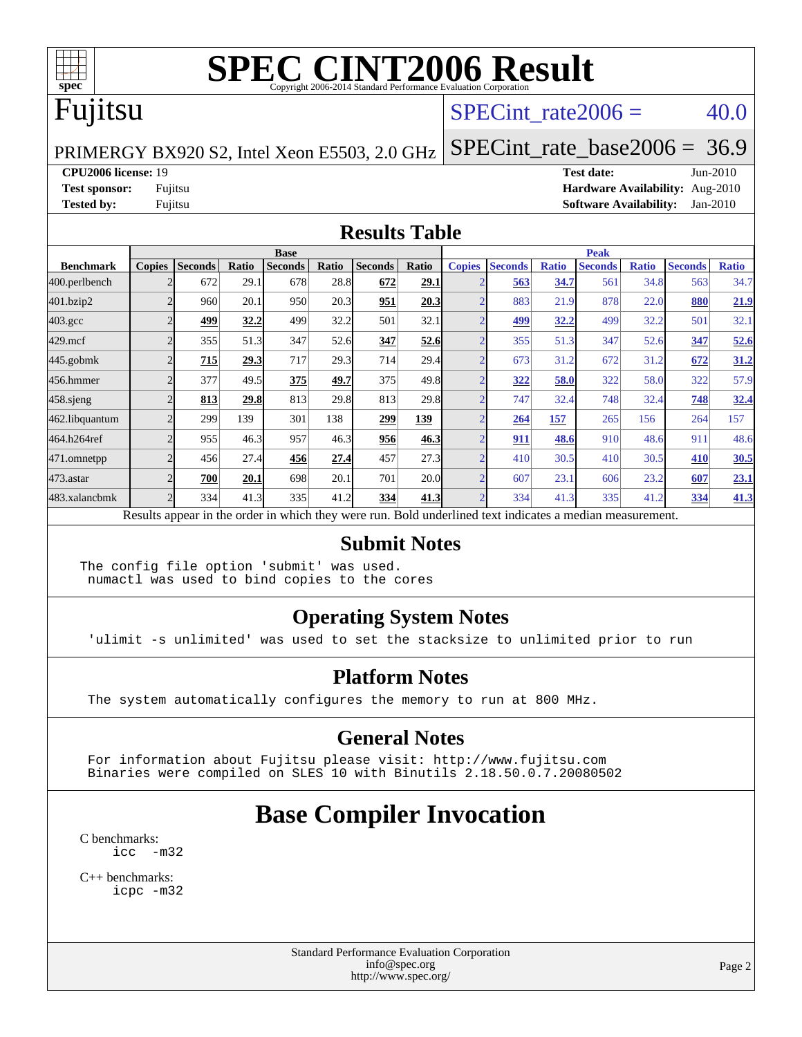

# Fujitsu

#### SPECint rate $2006 = 40.0$

[SPECint\\_rate\\_base2006 =](http://www.spec.org/auto/cpu2006/Docs/result-fields.html#SPECintratebase2006) 36.9

PRIMERGY BX920 S2, Intel Xeon E5503, 2.0 GHz

**[CPU2006 license:](http://www.spec.org/auto/cpu2006/Docs/result-fields.html#CPU2006license)** 19 **[Test date:](http://www.spec.org/auto/cpu2006/Docs/result-fields.html#Testdate)** Jun-2010 **[Test sponsor:](http://www.spec.org/auto/cpu2006/Docs/result-fields.html#Testsponsor)** Fujitsu **[Hardware Availability:](http://www.spec.org/auto/cpu2006/Docs/result-fields.html#HardwareAvailability)** Aug-2010 **[Tested by:](http://www.spec.org/auto/cpu2006/Docs/result-fields.html#Testedby)** Fujitsu **[Software Availability:](http://www.spec.org/auto/cpu2006/Docs/result-fields.html#SoftwareAvailability)** Jan-2010

#### **[Results Table](http://www.spec.org/auto/cpu2006/Docs/result-fields.html#ResultsTable)**

|                    | <b>Base</b>   |                |       |                                                                                                          |       |                |            | <b>Peak</b>   |                |              |                |              |                |              |
|--------------------|---------------|----------------|-------|----------------------------------------------------------------------------------------------------------|-------|----------------|------------|---------------|----------------|--------------|----------------|--------------|----------------|--------------|
| <b>Benchmark</b>   | <b>Copies</b> | <b>Seconds</b> | Ratio | <b>Seconds</b>                                                                                           | Ratio | <b>Seconds</b> | Ratio      | <b>Copies</b> | <b>Seconds</b> | <b>Ratio</b> | <b>Seconds</b> | <b>Ratio</b> | <b>Seconds</b> | <b>Ratio</b> |
| 400.perlbench      |               | 672            | 29.1  | 678                                                                                                      | 28.8  | 672            | 29.1       |               | 563            | 34.7         | 561            | 34.8         | 563            | 34.7         |
| 401.bzip2          |               | 960            | 20.1  | 950                                                                                                      | 20.3  | 951            | 20.3       |               | 883            | 21.9         | 878            | 22.0         | 880            | 21.9         |
| $403.\mathrm{gcc}$ |               | 499            | 32.2  | 499                                                                                                      | 32.2  | 501            | 32.1       |               | 499            | 32.2         | 499            | 32.2         | 501            | 32.1         |
| $429$ .mcf         |               | 355            | 51.3  | 347                                                                                                      | 52.6  | 347            | 52.6       |               | 355            | 51.3         | 347            | 52.6         | 347            | 52.6         |
| $445$ .gobmk       |               | 715            | 29.3  | 717                                                                                                      | 29.3  | 714            | 29.4       |               | 673            | 31.2         | 672            | 31.2         | 672            | 31.2         |
| 456.hmmer          |               | 377            | 49.5  | 375                                                                                                      | 49.7  | 375            | 49.8       |               | 322            | 58.0         | 322            | 58.0         | 322            | 57.9         |
| $458$ .sjeng       |               | 813            | 29.8  | 813                                                                                                      | 29.8  | 813            | 29.8       |               | 747            | 32.4         | 748            | 32.4         | 748            | 32.4         |
| 462.libquantum     |               | 299            | 139   | 301                                                                                                      | 138   | 299            | <u>139</u> |               | 264            | 157          | 265            | 156          | 264            | 157          |
| 464.h264ref        |               | 955            | 46.3  | 957                                                                                                      | 46.3  | 956            | 46.3       |               | 911            | 48.6         | 910            | 48.6         | 911            | 48.6         |
| 471.omnetpp        |               | 456            | 27.4  | 456                                                                                                      | 27.4  | 457            | 27.3       |               | 410            | 30.5         | 410            | 30.5         | 410            | 30.5         |
| $473$ . astar      |               | 700            | 20.1  | 698                                                                                                      | 20.1  | 701            | 20.0       |               | 607            | 23.1         | 606            | 23.2         | 607            | 23.1         |
| 483.xalancbmk      |               | 334            | 41.3  | 335                                                                                                      | 41.2  | 334            | 41.3       |               | 334            | 41.3         | 335            | 41.2         | 334            | 41.3         |
|                    |               |                |       | Results appear in the order in which they were run. Bold underlined text indicates a median measurement. |       |                |            |               |                |              |                |              |                |              |

#### **[Submit Notes](http://www.spec.org/auto/cpu2006/Docs/result-fields.html#SubmitNotes)**

The config file option 'submit' was used. numactl was used to bind copies to the cores

#### **[Operating System Notes](http://www.spec.org/auto/cpu2006/Docs/result-fields.html#OperatingSystemNotes)**

'ulimit -s unlimited' was used to set the stacksize to unlimited prior to run

#### **[Platform Notes](http://www.spec.org/auto/cpu2006/Docs/result-fields.html#PlatformNotes)**

The system automatically configures the memory to run at 800 MHz.

#### **[General Notes](http://www.spec.org/auto/cpu2006/Docs/result-fields.html#GeneralNotes)**

 For information about Fujitsu please visit: <http://www.fujitsu.com> Binaries were compiled on SLES 10 with Binutils 2.18.50.0.7.20080502

# **[Base Compiler Invocation](http://www.spec.org/auto/cpu2006/Docs/result-fields.html#BaseCompilerInvocation)**

[C benchmarks](http://www.spec.org/auto/cpu2006/Docs/result-fields.html#Cbenchmarks): [icc -m32](http://www.spec.org/cpu2006/results/res2010q3/cpu2006-20100702-12099.flags.html#user_CCbase_intel_icc_32bit_5ff4a39e364c98233615fdd38438c6f2)

[C++ benchmarks:](http://www.spec.org/auto/cpu2006/Docs/result-fields.html#CXXbenchmarks) [icpc -m32](http://www.spec.org/cpu2006/results/res2010q3/cpu2006-20100702-12099.flags.html#user_CXXbase_intel_icpc_32bit_4e5a5ef1a53fd332b3c49e69c3330699)

> Standard Performance Evaluation Corporation [info@spec.org](mailto:info@spec.org) <http://www.spec.org/>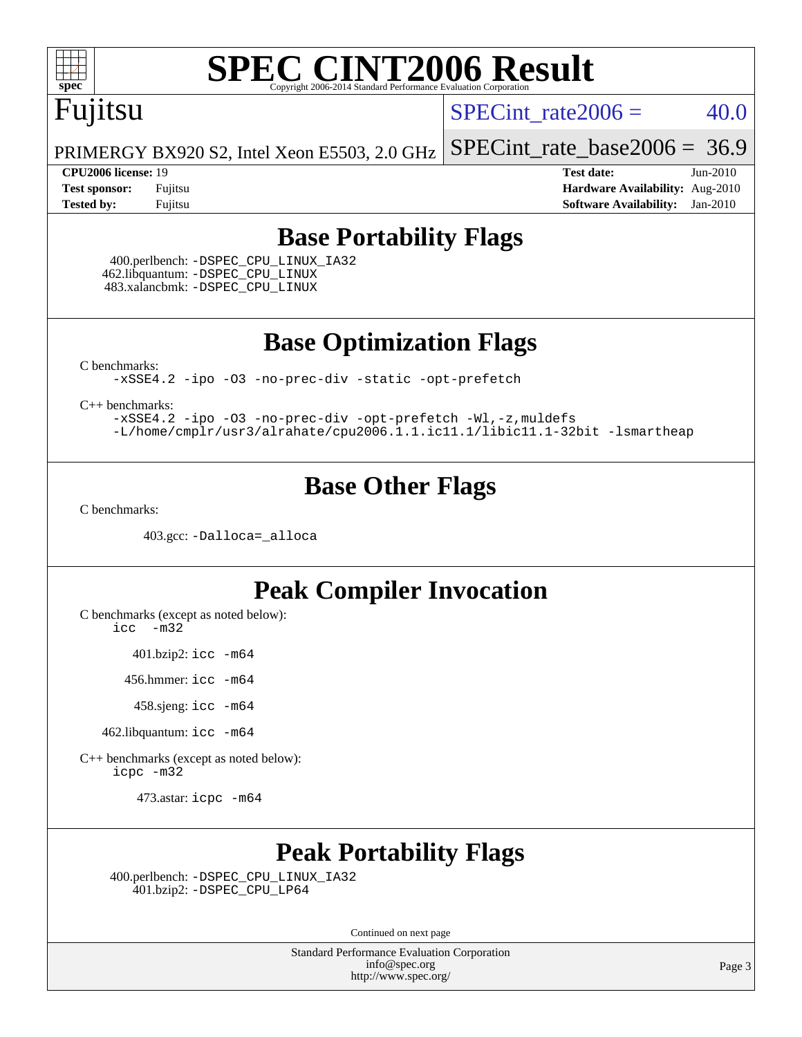

# Fujitsu

SPECint rate $2006 = 40.0$ 

PRIMERGY BX920 S2, Intel Xeon E5503, 2.0 GHz [SPECint\\_rate\\_base2006 =](http://www.spec.org/auto/cpu2006/Docs/result-fields.html#SPECintratebase2006) 36.9

**[CPU2006 license:](http://www.spec.org/auto/cpu2006/Docs/result-fields.html#CPU2006license)** 19 **[Test date:](http://www.spec.org/auto/cpu2006/Docs/result-fields.html#Testdate)** Jun-2010 **[Test sponsor:](http://www.spec.org/auto/cpu2006/Docs/result-fields.html#Testsponsor)** Fujitsu **[Hardware Availability:](http://www.spec.org/auto/cpu2006/Docs/result-fields.html#HardwareAvailability)** Aug-2010 **[Tested by:](http://www.spec.org/auto/cpu2006/Docs/result-fields.html#Testedby)** Fujitsu **[Software Availability:](http://www.spec.org/auto/cpu2006/Docs/result-fields.html#SoftwareAvailability)** Jan-2010

### **[Base Portability Flags](http://www.spec.org/auto/cpu2006/Docs/result-fields.html#BasePortabilityFlags)**

 400.perlbench: [-DSPEC\\_CPU\\_LINUX\\_IA32](http://www.spec.org/cpu2006/results/res2010q3/cpu2006-20100702-12099.flags.html#b400.perlbench_baseCPORTABILITY_DSPEC_CPU_LINUX_IA32) 462.libquantum: [-DSPEC\\_CPU\\_LINUX](http://www.spec.org/cpu2006/results/res2010q3/cpu2006-20100702-12099.flags.html#b462.libquantum_baseCPORTABILITY_DSPEC_CPU_LINUX) 483.xalancbmk: [-DSPEC\\_CPU\\_LINUX](http://www.spec.org/cpu2006/results/res2010q3/cpu2006-20100702-12099.flags.html#b483.xalancbmk_baseCXXPORTABILITY_DSPEC_CPU_LINUX)

**[Base Optimization Flags](http://www.spec.org/auto/cpu2006/Docs/result-fields.html#BaseOptimizationFlags)**

[C benchmarks](http://www.spec.org/auto/cpu2006/Docs/result-fields.html#Cbenchmarks):

[-xSSE4.2](http://www.spec.org/cpu2006/results/res2010q3/cpu2006-20100702-12099.flags.html#user_CCbase_f-xSSE42_f91528193cf0b216347adb8b939d4107) [-ipo](http://www.spec.org/cpu2006/results/res2010q3/cpu2006-20100702-12099.flags.html#user_CCbase_f-ipo) [-O3](http://www.spec.org/cpu2006/results/res2010q3/cpu2006-20100702-12099.flags.html#user_CCbase_f-O3) [-no-prec-div](http://www.spec.org/cpu2006/results/res2010q3/cpu2006-20100702-12099.flags.html#user_CCbase_f-no-prec-div) [-static](http://www.spec.org/cpu2006/results/res2010q3/cpu2006-20100702-12099.flags.html#user_CCbase_f-static) [-opt-prefetch](http://www.spec.org/cpu2006/results/res2010q3/cpu2006-20100702-12099.flags.html#user_CCbase_f-opt-prefetch)

[C++ benchmarks:](http://www.spec.org/auto/cpu2006/Docs/result-fields.html#CXXbenchmarks)

[-xSSE4.2](http://www.spec.org/cpu2006/results/res2010q3/cpu2006-20100702-12099.flags.html#user_CXXbase_f-xSSE42_f91528193cf0b216347adb8b939d4107) [-ipo](http://www.spec.org/cpu2006/results/res2010q3/cpu2006-20100702-12099.flags.html#user_CXXbase_f-ipo) [-O3](http://www.spec.org/cpu2006/results/res2010q3/cpu2006-20100702-12099.flags.html#user_CXXbase_f-O3) [-no-prec-div](http://www.spec.org/cpu2006/results/res2010q3/cpu2006-20100702-12099.flags.html#user_CXXbase_f-no-prec-div) [-opt-prefetch](http://www.spec.org/cpu2006/results/res2010q3/cpu2006-20100702-12099.flags.html#user_CXXbase_f-opt-prefetch) [-Wl,-z,muldefs](http://www.spec.org/cpu2006/results/res2010q3/cpu2006-20100702-12099.flags.html#user_CXXbase_link_force_multiple1_74079c344b956b9658436fd1b6dd3a8a) [-L/home/cmplr/usr3/alrahate/cpu2006.1.1.ic11.1/libic11.1-32bit -lsmartheap](http://www.spec.org/cpu2006/results/res2010q3/cpu2006-20100702-12099.flags.html#user_CXXbase_SmartHeap_d86dffe4a79b79ef8890d5cce17030c3)

### **[Base Other Flags](http://www.spec.org/auto/cpu2006/Docs/result-fields.html#BaseOtherFlags)**

[C benchmarks](http://www.spec.org/auto/cpu2006/Docs/result-fields.html#Cbenchmarks):

403.gcc: [-Dalloca=\\_alloca](http://www.spec.org/cpu2006/results/res2010q3/cpu2006-20100702-12099.flags.html#b403.gcc_baseEXTRA_CFLAGS_Dalloca_be3056838c12de2578596ca5467af7f3)

### **[Peak Compiler Invocation](http://www.spec.org/auto/cpu2006/Docs/result-fields.html#PeakCompilerInvocation)**

[C benchmarks \(except as noted below\)](http://www.spec.org/auto/cpu2006/Docs/result-fields.html#Cbenchmarksexceptasnotedbelow):

[icc -m32](http://www.spec.org/cpu2006/results/res2010q3/cpu2006-20100702-12099.flags.html#user_CCpeak_intel_icc_32bit_5ff4a39e364c98233615fdd38438c6f2)

401.bzip2: [icc -m64](http://www.spec.org/cpu2006/results/res2010q3/cpu2006-20100702-12099.flags.html#user_peakCCLD401_bzip2_intel_icc_64bit_bda6cc9af1fdbb0edc3795bac97ada53)

456.hmmer: [icc -m64](http://www.spec.org/cpu2006/results/res2010q3/cpu2006-20100702-12099.flags.html#user_peakCCLD456_hmmer_intel_icc_64bit_bda6cc9af1fdbb0edc3795bac97ada53)

458.sjeng: [icc -m64](http://www.spec.org/cpu2006/results/res2010q3/cpu2006-20100702-12099.flags.html#user_peakCCLD458_sjeng_intel_icc_64bit_bda6cc9af1fdbb0edc3795bac97ada53)

462.libquantum: [icc -m64](http://www.spec.org/cpu2006/results/res2010q3/cpu2006-20100702-12099.flags.html#user_peakCCLD462_libquantum_intel_icc_64bit_bda6cc9af1fdbb0edc3795bac97ada53)

[C++ benchmarks \(except as noted below\):](http://www.spec.org/auto/cpu2006/Docs/result-fields.html#CXXbenchmarksexceptasnotedbelow) [icpc -m32](http://www.spec.org/cpu2006/results/res2010q3/cpu2006-20100702-12099.flags.html#user_CXXpeak_intel_icpc_32bit_4e5a5ef1a53fd332b3c49e69c3330699)

473.astar: [icpc -m64](http://www.spec.org/cpu2006/results/res2010q3/cpu2006-20100702-12099.flags.html#user_peakCXXLD473_astar_intel_icpc_64bit_fc66a5337ce925472a5c54ad6a0de310)

### **[Peak Portability Flags](http://www.spec.org/auto/cpu2006/Docs/result-fields.html#PeakPortabilityFlags)**

 400.perlbench: [-DSPEC\\_CPU\\_LINUX\\_IA32](http://www.spec.org/cpu2006/results/res2010q3/cpu2006-20100702-12099.flags.html#b400.perlbench_peakCPORTABILITY_DSPEC_CPU_LINUX_IA32) 401.bzip2: [-DSPEC\\_CPU\\_LP64](http://www.spec.org/cpu2006/results/res2010q3/cpu2006-20100702-12099.flags.html#suite_peakCPORTABILITY401_bzip2_DSPEC_CPU_LP64)

Continued on next page

Standard Performance Evaluation Corporation [info@spec.org](mailto:info@spec.org) <http://www.spec.org/>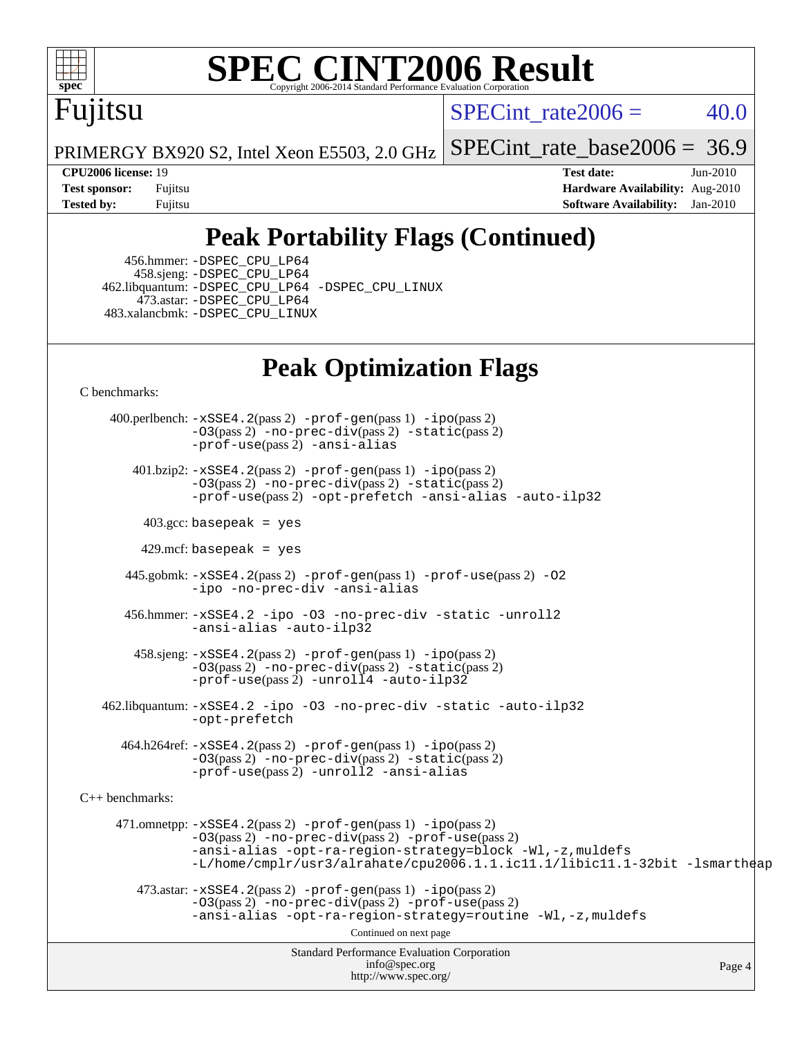

# Fujitsu

SPECint rate $2006 = 40.0$ 

PRIMERGY BX920 S2, Intel Xeon E5503, 2.0 GHz [SPECint\\_rate\\_base2006 =](http://www.spec.org/auto/cpu2006/Docs/result-fields.html#SPECintratebase2006) 36.9

**[CPU2006 license:](http://www.spec.org/auto/cpu2006/Docs/result-fields.html#CPU2006license)** 19 **[Test date:](http://www.spec.org/auto/cpu2006/Docs/result-fields.html#Testdate)** Jun-2010 **[Test sponsor:](http://www.spec.org/auto/cpu2006/Docs/result-fields.html#Testsponsor)** Fujitsu **[Hardware Availability:](http://www.spec.org/auto/cpu2006/Docs/result-fields.html#HardwareAvailability)** Aug-2010 **[Tested by:](http://www.spec.org/auto/cpu2006/Docs/result-fields.html#Testedby)** Fujitsu **[Software Availability:](http://www.spec.org/auto/cpu2006/Docs/result-fields.html#SoftwareAvailability)** Jan-2010

# **[Peak Portability Flags \(Continued\)](http://www.spec.org/auto/cpu2006/Docs/result-fields.html#PeakPortabilityFlags)**

 456.hmmer: [-DSPEC\\_CPU\\_LP64](http://www.spec.org/cpu2006/results/res2010q3/cpu2006-20100702-12099.flags.html#suite_peakCPORTABILITY456_hmmer_DSPEC_CPU_LP64) 458.sjeng: [-DSPEC\\_CPU\\_LP64](http://www.spec.org/cpu2006/results/res2010q3/cpu2006-20100702-12099.flags.html#suite_peakCPORTABILITY458_sjeng_DSPEC_CPU_LP64) 462.libquantum: [-DSPEC\\_CPU\\_LP64](http://www.spec.org/cpu2006/results/res2010q3/cpu2006-20100702-12099.flags.html#suite_peakCPORTABILITY462_libquantum_DSPEC_CPU_LP64) [-DSPEC\\_CPU\\_LINUX](http://www.spec.org/cpu2006/results/res2010q3/cpu2006-20100702-12099.flags.html#b462.libquantum_peakCPORTABILITY_DSPEC_CPU_LINUX) 473.astar: [-DSPEC\\_CPU\\_LP64](http://www.spec.org/cpu2006/results/res2010q3/cpu2006-20100702-12099.flags.html#suite_peakCXXPORTABILITY473_astar_DSPEC_CPU_LP64) 483.xalancbmk: [-DSPEC\\_CPU\\_LINUX](http://www.spec.org/cpu2006/results/res2010q3/cpu2006-20100702-12099.flags.html#b483.xalancbmk_peakCXXPORTABILITY_DSPEC_CPU_LINUX)

## **[Peak Optimization Flags](http://www.spec.org/auto/cpu2006/Docs/result-fields.html#PeakOptimizationFlags)**

[C benchmarks](http://www.spec.org/auto/cpu2006/Docs/result-fields.html#Cbenchmarks):

Standard Performance Evaluation Corporation [info@spec.org](mailto:info@spec.org) <http://www.spec.org/> Page 4 400.perlbench: [-xSSE4.2](http://www.spec.org/cpu2006/results/res2010q3/cpu2006-20100702-12099.flags.html#user_peakPASS2_CFLAGSPASS2_LDCFLAGS400_perlbench_f-xSSE42_f91528193cf0b216347adb8b939d4107)(pass 2) [-prof-gen](http://www.spec.org/cpu2006/results/res2010q3/cpu2006-20100702-12099.flags.html#user_peakPASS1_CFLAGSPASS1_LDCFLAGS400_perlbench_prof_gen_e43856698f6ca7b7e442dfd80e94a8fc)(pass 1) [-ipo](http://www.spec.org/cpu2006/results/res2010q3/cpu2006-20100702-12099.flags.html#user_peakPASS2_CFLAGSPASS2_LDCFLAGS400_perlbench_f-ipo)(pass 2)  $-03$ (pass 2)  $-$ no-prec-div(pass 2)  $-$ static(pass 2) [-prof-use](http://www.spec.org/cpu2006/results/res2010q3/cpu2006-20100702-12099.flags.html#user_peakPASS2_CFLAGSPASS2_LDCFLAGS400_perlbench_prof_use_bccf7792157ff70d64e32fe3e1250b55)(pass 2) [-ansi-alias](http://www.spec.org/cpu2006/results/res2010q3/cpu2006-20100702-12099.flags.html#user_peakCOPTIMIZE400_perlbench_f-ansi-alias) 401.bzip2: [-xSSE4.2](http://www.spec.org/cpu2006/results/res2010q3/cpu2006-20100702-12099.flags.html#user_peakPASS2_CFLAGSPASS2_LDCFLAGS401_bzip2_f-xSSE42_f91528193cf0b216347adb8b939d4107)(pass 2) [-prof-gen](http://www.spec.org/cpu2006/results/res2010q3/cpu2006-20100702-12099.flags.html#user_peakPASS1_CFLAGSPASS1_LDCFLAGS401_bzip2_prof_gen_e43856698f6ca7b7e442dfd80e94a8fc)(pass 1) [-ipo](http://www.spec.org/cpu2006/results/res2010q3/cpu2006-20100702-12099.flags.html#user_peakPASS2_CFLAGSPASS2_LDCFLAGS401_bzip2_f-ipo)(pass 2) [-O3](http://www.spec.org/cpu2006/results/res2010q3/cpu2006-20100702-12099.flags.html#user_peakPASS2_CFLAGSPASS2_LDCFLAGS401_bzip2_f-O3)(pass 2) [-no-prec-div](http://www.spec.org/cpu2006/results/res2010q3/cpu2006-20100702-12099.flags.html#user_peakPASS2_CFLAGSPASS2_LDCFLAGS401_bzip2_f-no-prec-div)(pass 2) [-static](http://www.spec.org/cpu2006/results/res2010q3/cpu2006-20100702-12099.flags.html#user_peakPASS2_CFLAGSPASS2_LDCFLAGS401_bzip2_f-static)(pass 2) [-prof-use](http://www.spec.org/cpu2006/results/res2010q3/cpu2006-20100702-12099.flags.html#user_peakPASS2_CFLAGSPASS2_LDCFLAGS401_bzip2_prof_use_bccf7792157ff70d64e32fe3e1250b55)(pass 2) [-opt-prefetch](http://www.spec.org/cpu2006/results/res2010q3/cpu2006-20100702-12099.flags.html#user_peakCOPTIMIZE401_bzip2_f-opt-prefetch) [-ansi-alias](http://www.spec.org/cpu2006/results/res2010q3/cpu2006-20100702-12099.flags.html#user_peakCOPTIMIZE401_bzip2_f-ansi-alias) [-auto-ilp32](http://www.spec.org/cpu2006/results/res2010q3/cpu2006-20100702-12099.flags.html#user_peakCOPTIMIZE401_bzip2_f-auto-ilp32)  $403.\text{gcc: basepeak}$  = yes  $429$ .mcf: basepeak = yes 445.gobmk: [-xSSE4.2](http://www.spec.org/cpu2006/results/res2010q3/cpu2006-20100702-12099.flags.html#user_peakPASS2_CFLAGSPASS2_LDCFLAGS445_gobmk_f-xSSE42_f91528193cf0b216347adb8b939d4107)(pass 2) [-prof-gen](http://www.spec.org/cpu2006/results/res2010q3/cpu2006-20100702-12099.flags.html#user_peakPASS1_CFLAGSPASS1_LDCFLAGS445_gobmk_prof_gen_e43856698f6ca7b7e442dfd80e94a8fc)(pass 1) [-prof-use](http://www.spec.org/cpu2006/results/res2010q3/cpu2006-20100702-12099.flags.html#user_peakPASS2_CFLAGSPASS2_LDCFLAGS445_gobmk_prof_use_bccf7792157ff70d64e32fe3e1250b55)(pass 2) [-O2](http://www.spec.org/cpu2006/results/res2010q3/cpu2006-20100702-12099.flags.html#user_peakCOPTIMIZE445_gobmk_f-O2) [-ipo](http://www.spec.org/cpu2006/results/res2010q3/cpu2006-20100702-12099.flags.html#user_peakCOPTIMIZE445_gobmk_f-ipo) [-no-prec-div](http://www.spec.org/cpu2006/results/res2010q3/cpu2006-20100702-12099.flags.html#user_peakCOPTIMIZE445_gobmk_f-no-prec-div) [-ansi-alias](http://www.spec.org/cpu2006/results/res2010q3/cpu2006-20100702-12099.flags.html#user_peakCOPTIMIZE445_gobmk_f-ansi-alias) 456.hmmer: [-xSSE4.2](http://www.spec.org/cpu2006/results/res2010q3/cpu2006-20100702-12099.flags.html#user_peakCOPTIMIZE456_hmmer_f-xSSE42_f91528193cf0b216347adb8b939d4107) [-ipo](http://www.spec.org/cpu2006/results/res2010q3/cpu2006-20100702-12099.flags.html#user_peakCOPTIMIZE456_hmmer_f-ipo) [-O3](http://www.spec.org/cpu2006/results/res2010q3/cpu2006-20100702-12099.flags.html#user_peakCOPTIMIZE456_hmmer_f-O3) [-no-prec-div](http://www.spec.org/cpu2006/results/res2010q3/cpu2006-20100702-12099.flags.html#user_peakCOPTIMIZE456_hmmer_f-no-prec-div) [-static](http://www.spec.org/cpu2006/results/res2010q3/cpu2006-20100702-12099.flags.html#user_peakCOPTIMIZE456_hmmer_f-static) [-unroll2](http://www.spec.org/cpu2006/results/res2010q3/cpu2006-20100702-12099.flags.html#user_peakCOPTIMIZE456_hmmer_f-unroll_784dae83bebfb236979b41d2422d7ec2) [-ansi-alias](http://www.spec.org/cpu2006/results/res2010q3/cpu2006-20100702-12099.flags.html#user_peakCOPTIMIZE456_hmmer_f-ansi-alias) [-auto-ilp32](http://www.spec.org/cpu2006/results/res2010q3/cpu2006-20100702-12099.flags.html#user_peakCOPTIMIZE456_hmmer_f-auto-ilp32) 458.sjeng: [-xSSE4.2](http://www.spec.org/cpu2006/results/res2010q3/cpu2006-20100702-12099.flags.html#user_peakPASS2_CFLAGSPASS2_LDCFLAGS458_sjeng_f-xSSE42_f91528193cf0b216347adb8b939d4107)(pass 2) [-prof-gen](http://www.spec.org/cpu2006/results/res2010q3/cpu2006-20100702-12099.flags.html#user_peakPASS1_CFLAGSPASS1_LDCFLAGS458_sjeng_prof_gen_e43856698f6ca7b7e442dfd80e94a8fc)(pass 1) [-ipo](http://www.spec.org/cpu2006/results/res2010q3/cpu2006-20100702-12099.flags.html#user_peakPASS2_CFLAGSPASS2_LDCFLAGS458_sjeng_f-ipo)(pass 2) [-O3](http://www.spec.org/cpu2006/results/res2010q3/cpu2006-20100702-12099.flags.html#user_peakPASS2_CFLAGSPASS2_LDCFLAGS458_sjeng_f-O3)(pass 2) [-no-prec-div](http://www.spec.org/cpu2006/results/res2010q3/cpu2006-20100702-12099.flags.html#user_peakPASS2_CFLAGSPASS2_LDCFLAGS458_sjeng_f-no-prec-div)(pass 2) [-static](http://www.spec.org/cpu2006/results/res2010q3/cpu2006-20100702-12099.flags.html#user_peakPASS2_CFLAGSPASS2_LDCFLAGS458_sjeng_f-static)(pass 2) [-prof-use](http://www.spec.org/cpu2006/results/res2010q3/cpu2006-20100702-12099.flags.html#user_peakPASS2_CFLAGSPASS2_LDCFLAGS458_sjeng_prof_use_bccf7792157ff70d64e32fe3e1250b55)(pass 2) [-unroll4](http://www.spec.org/cpu2006/results/res2010q3/cpu2006-20100702-12099.flags.html#user_peakCOPTIMIZE458_sjeng_f-unroll_4e5e4ed65b7fd20bdcd365bec371b81f) [-auto-ilp32](http://www.spec.org/cpu2006/results/res2010q3/cpu2006-20100702-12099.flags.html#user_peakCOPTIMIZE458_sjeng_f-auto-ilp32) 462.libquantum: [-xSSE4.2](http://www.spec.org/cpu2006/results/res2010q3/cpu2006-20100702-12099.flags.html#user_peakCOPTIMIZE462_libquantum_f-xSSE42_f91528193cf0b216347adb8b939d4107) [-ipo](http://www.spec.org/cpu2006/results/res2010q3/cpu2006-20100702-12099.flags.html#user_peakCOPTIMIZE462_libquantum_f-ipo) [-O3](http://www.spec.org/cpu2006/results/res2010q3/cpu2006-20100702-12099.flags.html#user_peakCOPTIMIZE462_libquantum_f-O3) [-no-prec-div](http://www.spec.org/cpu2006/results/res2010q3/cpu2006-20100702-12099.flags.html#user_peakCOPTIMIZE462_libquantum_f-no-prec-div) [-static](http://www.spec.org/cpu2006/results/res2010q3/cpu2006-20100702-12099.flags.html#user_peakCOPTIMIZE462_libquantum_f-static) [-auto-ilp32](http://www.spec.org/cpu2006/results/res2010q3/cpu2006-20100702-12099.flags.html#user_peakCOPTIMIZE462_libquantum_f-auto-ilp32) [-opt-prefetch](http://www.spec.org/cpu2006/results/res2010q3/cpu2006-20100702-12099.flags.html#user_peakCOPTIMIZE462_libquantum_f-opt-prefetch) 464.h264ref: [-xSSE4.2](http://www.spec.org/cpu2006/results/res2010q3/cpu2006-20100702-12099.flags.html#user_peakPASS2_CFLAGSPASS2_LDCFLAGS464_h264ref_f-xSSE42_f91528193cf0b216347adb8b939d4107)(pass 2) [-prof-gen](http://www.spec.org/cpu2006/results/res2010q3/cpu2006-20100702-12099.flags.html#user_peakPASS1_CFLAGSPASS1_LDCFLAGS464_h264ref_prof_gen_e43856698f6ca7b7e442dfd80e94a8fc)(pass 1) [-ipo](http://www.spec.org/cpu2006/results/res2010q3/cpu2006-20100702-12099.flags.html#user_peakPASS2_CFLAGSPASS2_LDCFLAGS464_h264ref_f-ipo)(pass 2) [-O3](http://www.spec.org/cpu2006/results/res2010q3/cpu2006-20100702-12099.flags.html#user_peakPASS2_CFLAGSPASS2_LDCFLAGS464_h264ref_f-O3)(pass 2) [-no-prec-div](http://www.spec.org/cpu2006/results/res2010q3/cpu2006-20100702-12099.flags.html#user_peakPASS2_CFLAGSPASS2_LDCFLAGS464_h264ref_f-no-prec-div)(pass 2) [-static](http://www.spec.org/cpu2006/results/res2010q3/cpu2006-20100702-12099.flags.html#user_peakPASS2_CFLAGSPASS2_LDCFLAGS464_h264ref_f-static)(pass 2) [-prof-use](http://www.spec.org/cpu2006/results/res2010q3/cpu2006-20100702-12099.flags.html#user_peakPASS2_CFLAGSPASS2_LDCFLAGS464_h264ref_prof_use_bccf7792157ff70d64e32fe3e1250b55)(pass 2) [-unroll2](http://www.spec.org/cpu2006/results/res2010q3/cpu2006-20100702-12099.flags.html#user_peakCOPTIMIZE464_h264ref_f-unroll_784dae83bebfb236979b41d2422d7ec2) [-ansi-alias](http://www.spec.org/cpu2006/results/res2010q3/cpu2006-20100702-12099.flags.html#user_peakCOPTIMIZE464_h264ref_f-ansi-alias) [C++ benchmarks:](http://www.spec.org/auto/cpu2006/Docs/result-fields.html#CXXbenchmarks) 471.omnetpp: [-xSSE4.2](http://www.spec.org/cpu2006/results/res2010q3/cpu2006-20100702-12099.flags.html#user_peakPASS2_CXXFLAGSPASS2_LDCXXFLAGS471_omnetpp_f-xSSE42_f91528193cf0b216347adb8b939d4107)(pass 2) [-prof-gen](http://www.spec.org/cpu2006/results/res2010q3/cpu2006-20100702-12099.flags.html#user_peakPASS1_CXXFLAGSPASS1_LDCXXFLAGS471_omnetpp_prof_gen_e43856698f6ca7b7e442dfd80e94a8fc)(pass 1) [-ipo](http://www.spec.org/cpu2006/results/res2010q3/cpu2006-20100702-12099.flags.html#user_peakPASS2_CXXFLAGSPASS2_LDCXXFLAGS471_omnetpp_f-ipo)(pass 2) [-O3](http://www.spec.org/cpu2006/results/res2010q3/cpu2006-20100702-12099.flags.html#user_peakPASS2_CXXFLAGSPASS2_LDCXXFLAGS471_omnetpp_f-O3)(pass 2) [-no-prec-div](http://www.spec.org/cpu2006/results/res2010q3/cpu2006-20100702-12099.flags.html#user_peakPASS2_CXXFLAGSPASS2_LDCXXFLAGS471_omnetpp_f-no-prec-div)(pass 2) [-prof-use](http://www.spec.org/cpu2006/results/res2010q3/cpu2006-20100702-12099.flags.html#user_peakPASS2_CXXFLAGSPASS2_LDCXXFLAGS471_omnetpp_prof_use_bccf7792157ff70d64e32fe3e1250b55)(pass 2) [-ansi-alias](http://www.spec.org/cpu2006/results/res2010q3/cpu2006-20100702-12099.flags.html#user_peakCXXOPTIMIZE471_omnetpp_f-ansi-alias) [-opt-ra-region-strategy=block](http://www.spec.org/cpu2006/results/res2010q3/cpu2006-20100702-12099.flags.html#user_peakCXXOPTIMIZE471_omnetpp_f-opt-ra-region-strategy-block_a0a37c372d03933b2a18d4af463c1f69) [-Wl,-z,muldefs](http://www.spec.org/cpu2006/results/res2010q3/cpu2006-20100702-12099.flags.html#user_peakEXTRA_LDFLAGS471_omnetpp_link_force_multiple1_74079c344b956b9658436fd1b6dd3a8a) [-L/home/cmplr/usr3/alrahate/cpu2006.1.1.ic11.1/libic11.1-32bit -lsmartheap](http://www.spec.org/cpu2006/results/res2010q3/cpu2006-20100702-12099.flags.html#user_peakEXTRA_LIBS471_omnetpp_SmartHeap_d86dffe4a79b79ef8890d5cce17030c3)  $473.\text{astar: } -xSSE4$ .  $2(\text{pass 2})$   $-\text{prof-gen}(\text{pass 1})$   $-i\text{po}(\text{pass 2})$ [-O3](http://www.spec.org/cpu2006/results/res2010q3/cpu2006-20100702-12099.flags.html#user_peakPASS2_CXXFLAGSPASS2_LDCXXFLAGS473_astar_f-O3)(pass 2) [-no-prec-div](http://www.spec.org/cpu2006/results/res2010q3/cpu2006-20100702-12099.flags.html#user_peakPASS2_CXXFLAGSPASS2_LDCXXFLAGS473_astar_f-no-prec-div)(pass 2) [-prof-use](http://www.spec.org/cpu2006/results/res2010q3/cpu2006-20100702-12099.flags.html#user_peakPASS2_CXXFLAGSPASS2_LDCXXFLAGS473_astar_prof_use_bccf7792157ff70d64e32fe3e1250b55)(pass 2) [-ansi-alias](http://www.spec.org/cpu2006/results/res2010q3/cpu2006-20100702-12099.flags.html#user_peakCXXOPTIMIZE473_astar_f-ansi-alias) [-opt-ra-region-strategy=routine](http://www.spec.org/cpu2006/results/res2010q3/cpu2006-20100702-12099.flags.html#user_peakCXXOPTIMIZE473_astar_f-opt-ra-region-strategy-routine_ba086ea3b1d46a52e1238e2ca173ed44) [-Wl,-z,muldefs](http://www.spec.org/cpu2006/results/res2010q3/cpu2006-20100702-12099.flags.html#user_peakEXTRA_LDFLAGS473_astar_link_force_multiple1_74079c344b956b9658436fd1b6dd3a8a) Continued on next page